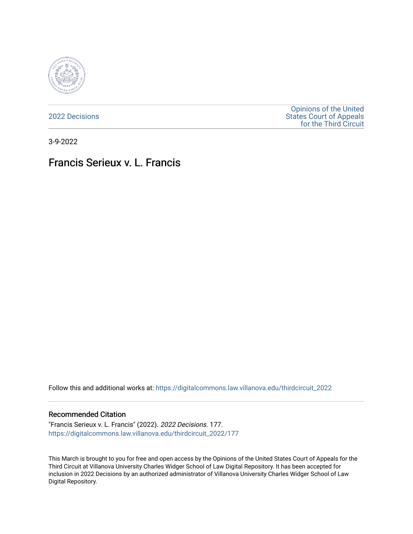

[2022 Decisions](https://digitalcommons.law.villanova.edu/thirdcircuit_2022)

[Opinions of the United](https://digitalcommons.law.villanova.edu/thirdcircuit)  [States Court of Appeals](https://digitalcommons.law.villanova.edu/thirdcircuit)  [for the Third Circuit](https://digitalcommons.law.villanova.edu/thirdcircuit) 

3-9-2022

# Francis Serieux v. L. Francis

Follow this and additional works at: [https://digitalcommons.law.villanova.edu/thirdcircuit\\_2022](https://digitalcommons.law.villanova.edu/thirdcircuit_2022?utm_source=digitalcommons.law.villanova.edu%2Fthirdcircuit_2022%2F177&utm_medium=PDF&utm_campaign=PDFCoverPages) 

#### Recommended Citation

"Francis Serieux v. L. Francis" (2022). 2022 Decisions. 177. [https://digitalcommons.law.villanova.edu/thirdcircuit\\_2022/177](https://digitalcommons.law.villanova.edu/thirdcircuit_2022/177?utm_source=digitalcommons.law.villanova.edu%2Fthirdcircuit_2022%2F177&utm_medium=PDF&utm_campaign=PDFCoverPages)

This March is brought to you for free and open access by the Opinions of the United States Court of Appeals for the Third Circuit at Villanova University Charles Widger School of Law Digital Repository. It has been accepted for inclusion in 2022 Decisions by an authorized administrator of Villanova University Charles Widger School of Law Digital Repository.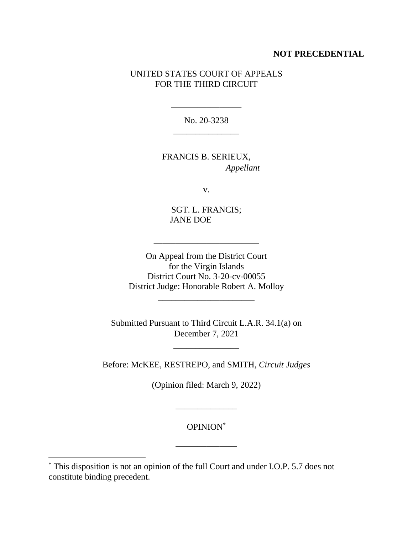## **NOT PRECEDENTIAL**

## UNITED STATES COURT OF APPEALS FOR THE THIRD CIRCUIT

No. 20-3238 \_\_\_\_\_\_\_\_\_\_\_\_\_\_\_

\_\_\_\_\_\_\_\_\_\_\_\_\_\_\_\_

FRANCIS B. SERIEUX, *Appellant*

v.

SGT. L. FRANCIS; JANE DOE

\_\_\_\_\_\_\_\_\_\_\_\_\_\_\_\_\_\_\_\_\_\_\_\_

On Appeal from the District Court for the Virgin Islands District Court No. 3-20-cv-00055 District Judge: Honorable Robert A. Molloy

\_\_\_\_\_\_\_\_\_\_\_\_\_\_\_\_\_\_\_\_\_\_

Submitted Pursuant to Third Circuit L.A.R. 34.1(a) on December 7, 2021

\_\_\_\_\_\_\_\_\_\_\_\_\_\_\_

Before: McKEE, RESTREPO, and SMITH, *Circuit Judges*

(Opinion filed: March 9, 2022)

OPINION\*

\_\_\_\_\_\_\_\_\_\_\_\_\_\_

\_\_\_\_\_\_\_\_\_\_\_\_\_\_

<sup>\*</sup> This disposition is not an opinion of the full Court and under I.O.P. 5.7 does not constitute binding precedent.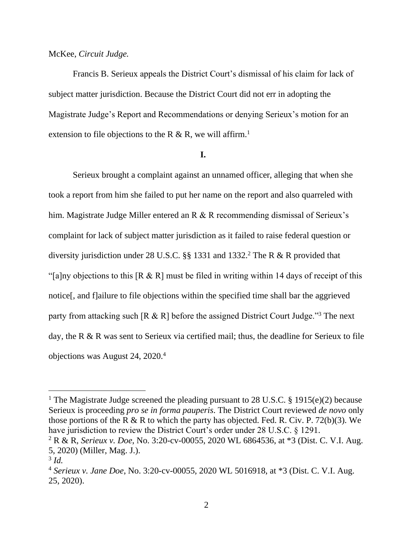## McKee, *Circuit Judge.*

Francis B. Serieux appeals the District Court's dismissal of his claim for lack of subject matter jurisdiction. Because the District Court did not err in adopting the Magistrate Judge's Report and Recommendations or denying Serieux's motion for an extension to file objections to the R & R, we will affirm.<sup>1</sup>

#### **I.**

Serieux brought a complaint against an unnamed officer, alleging that when she took a report from him she failed to put her name on the report and also quarreled with him. Magistrate Judge Miller entered an R & R recommending dismissal of Serieux's complaint for lack of subject matter jurisdiction as it failed to raise federal question or diversity jurisdiction under 28 U.S.C.  $\S$  1331 and 1332.<sup>2</sup> The R & R provided that "[a]ny objections to this  $[R \& R]$  must be filed in writing within 14 days of receipt of this notice[, and f]ailure to file objections within the specified time shall bar the aggrieved party from attacking such  $[R \& R]$  before the assigned District Court Judge."<sup>3</sup> The next day, the R & R was sent to Serieux via certified mail; thus, the deadline for Serieux to file objections was August 24, 2020.<sup>4</sup>

<sup>&</sup>lt;sup>1</sup> The Magistrate Judge screened the pleading pursuant to 28 U.S.C. § 1915(e)(2) because Serieux is proceeding *pro se in forma pauperis*. The District Court reviewed *de novo* only those portions of the R & R to which the party has objected. Fed. R. Civ. P. 72(b)(3). We have jurisdiction to review the District Court's order under 28 U.S.C. § 1291.

<sup>2</sup> R & R, *Serieux v. Doe*, No. 3:20-cv-00055, 2020 WL 6864536, at \*3 (Dist. C. V.I. Aug. 5, 2020) (Miller, Mag. J.).

<sup>3</sup> *Id.*

<sup>4</sup> *Serieux v. Jane Doe*, No. 3:20-cv-00055, 2020 WL 5016918, at \*3 (Dist. C. V.I. Aug. 25, 2020).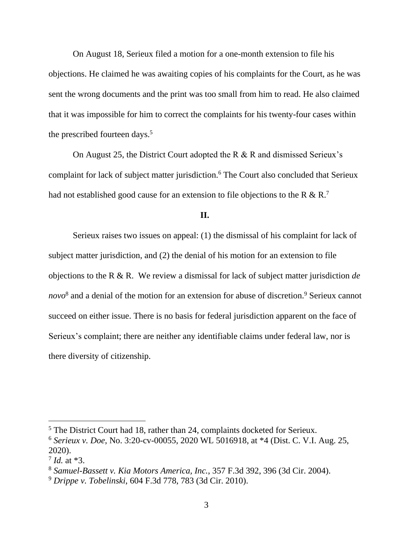On August 18, Serieux filed a motion for a one-month extension to file his objections. He claimed he was awaiting copies of his complaints for the Court, as he was sent the wrong documents and the print was too small from him to read. He also claimed that it was impossible for him to correct the complaints for his twenty-four cases within the prescribed fourteen days.<sup>5</sup>

On August 25, the District Court adopted the R & R and dismissed Serieux's complaint for lack of subject matter jurisdiction.<sup>6</sup> The Court also concluded that Serieux had not established good cause for an extension to file objections to the R & R.<sup>7</sup>

#### **II.**

Serieux raises two issues on appeal: (1) the dismissal of his complaint for lack of subject matter jurisdiction, and (2) the denial of his motion for an extension to file objections to the R & R. We review a dismissal for lack of subject matter jurisdiction *de novo*<sup>8</sup> and a denial of the motion for an extension for abuse of discretion.<sup>9</sup> Serieux cannot succeed on either issue. There is no basis for federal jurisdiction apparent on the face of Serieux's complaint; there are neither any identifiable claims under federal law, nor is there diversity of citizenship.

<sup>&</sup>lt;sup>5</sup> The District Court had 18, rather than 24, complaints docketed for Serieux.

<sup>6</sup> *Serieux v. Doe*, No. 3:20-cv-00055, 2020 WL 5016918, at \*4 (Dist. C. V.I. Aug. 25, 2020).

<sup>7</sup> *Id.* at \*3.

<sup>8</sup> *Samuel-Bassett v. Kia Motors America, Inc.*, 357 F.3d 392, 396 (3d Cir. 2004).

<sup>9</sup> *Drippe v. Tobelinski*, 604 F.3d 778, 783 (3d Cir. 2010).